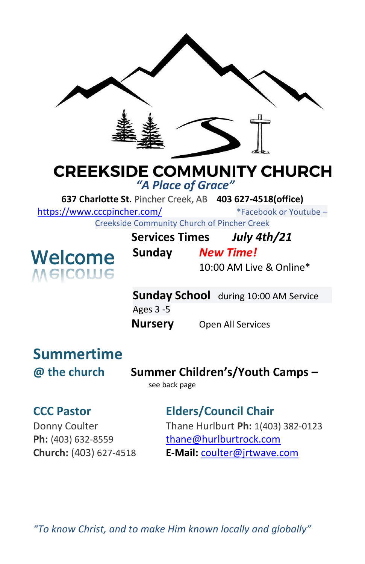

# **CREEKSIDE COMMUNITY CHURCH**

*"A Place of Grace"*

**637 Charlotte St.** Pincher Creek, AB **403 627-4518(office)** 

<https://www.cccpincher.com/>\*Facebook or Youtube –

Creekside Community Church of Pincher Creek

**Welcome**<br>Melcowe

**Services Times** *July 4th/21* **Sunday** *New Time!*

10:00 AM Live & Online\*

**Sunday School** during 10:00 AM Service Ages 3 -5 **Nursery** Open All Services

# **Summertime**

**@ the church Summer Children's/Youth Camps –**

see back page

# **CCC Pastor Elders/Council Chair**

Donny Coulter Thane Hurlburt **Ph:** 1(403) 382-0123 **Ph:** (403) 632-8559 [thane@hurlburtrock.com](mailto:thane@hurlburtrock.com) **Church:** (403) 627-4518 **E-Mail:** [coulter@jrtwave.com](mailto:coulter@jrtwave.com)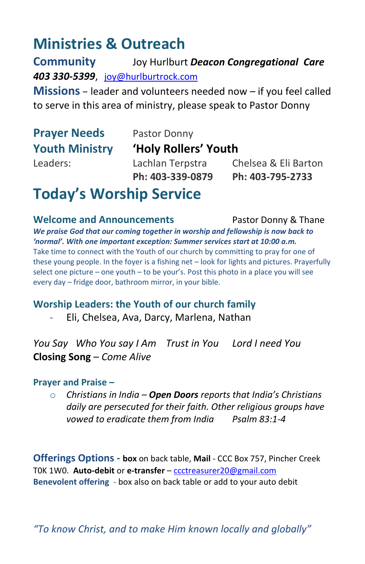# **Ministries & Outreach**

**Community** Joy Hurlburt *Deacon Congregational Care 403 330-5399*, [joy@hurlburtrock.com](mailto:joy@hurlburtrock.com)

**Missions** – leader and volunteers needed now – if you feel called to serve in this area of ministry, please speak to Pastor Donny

# **Prayer Needs** Pastor Donny

# **Youth Ministry 'Holy Rollers' Youth**

Leaders: Lachlan Terpstra Chelsea & Eli Barton **Ph: 403-339-0879 Ph: 403-795-2733**

# **Today's Worship Service**

**Welcome and Announcements** Pastor Donny & Thane *We praise God that our coming together in worship and fellowship is now back to 'normal'. With one important exception: Summer services start at 10:00 a.m.* Take time to connect with the Youth of our church by committing to pray for one of these young people. In the foyer is a fishing net – look for lights and pictures. Prayerfully select one picture – one youth – to be your's. Post this photo in a place you will see every day – fridge door, bathroom mirror, in your bible.

## **Worship Leaders: the Youth of our church family**

Eli, Chelsea, Ava, Darcy, Marlena, Nathan

*You Say Who You say I Am Trust in You Lord I need You* **Closing Song** – *Come Alive*

### **Prayer and Praise –**

o *Christians in India – Open Doors reports that India's Christians daily are persecuted for their faith. Other religious groups have vowed to eradicate them from India Psalm 83:1-4*

**Offerings Options - box** on back table, **Mail** - CCC Box 757, Pincher Creek T0K 1W0. **Auto-debit** or **e-transfer** – [ccctreasurer20@gmail.com](mailto:ccctreasurer20@gmail.com) **Benevolent offering** - box also on back table or add to your auto debit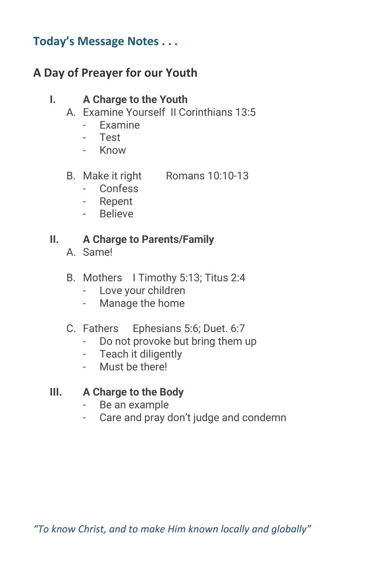# **Today's Message Notes . . .**

# **A Day of Preayer for our Youth**

# **I. A Charge to the Youth**

- A. Examine Yourself II Corinthians 13:5
	- Examine
	- Test
	- Know
- B. Make it right Romans 10:10-13
	- Confess
	- Repent
	- Believe

# **II. A Charge to Parents/Family**

- A. Same!
- B. Mothers I Timothy 5:13; Titus 2:4
	- Love your children
	- Manage the home

# C. Fathers Ephesians 5:6; Duet. 6:7

- Do not provoke but bring them up
- Teach it diligently
- Must be there!

# **III. A Charge to the Body**

- Be an example
- Care and pray don't judge and condemn